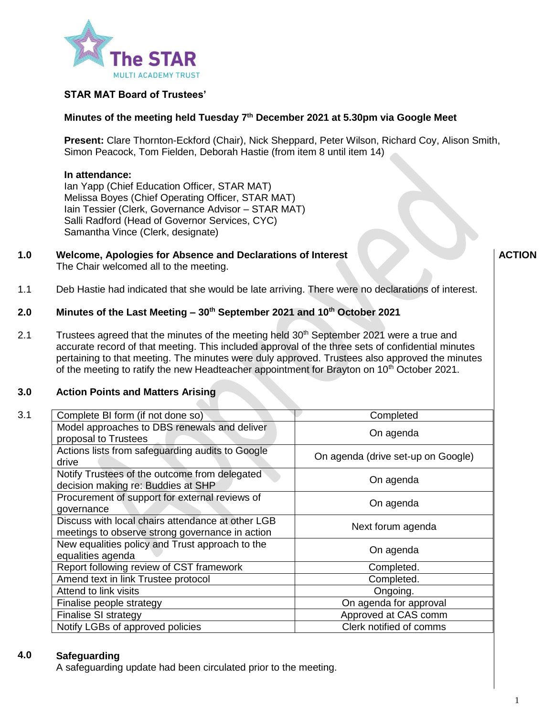

# **STAR MAT Board of Trustees'**

## **Minutes of the meeting held Tuesday 7 th December 2021 at 5.30pm via Google Meet**

**Present:** Clare Thornton-Eckford (Chair), Nick Sheppard, Peter Wilson, Richard Coy, Alison Smith, Simon Peacock, Tom Fielden, Deborah Hastie (from item 8 until item 14)

### **In attendance:**

Ian Yapp (Chief Education Officer, STAR MAT) Melissa Boyes (Chief Operating Officer, STAR MAT) Iain Tessier (Clerk, Governance Advisor – STAR MAT) Salli Radford (Head of Governor Services, CYC) Samantha Vince (Clerk, designate)

**1.0 Welcome, Apologies for Absence and Declarations of Interest** The Chair welcomed all to the meeting.

**ACTION**

1.1 Deb Hastie had indicated that she would be late arriving. There were no declarations of interest.

#### **2.0 Minutes of the Last Meeting – 30th September 2021 and 10th October 2021**

2.1 Trustees agreed that the minutes of the meeting held  $30<sup>th</sup>$  September 2021 were a true and accurate record of that meeting. This included approval of the three sets of confidential minutes pertaining to that meeting. The minutes were duly approved. Trustees also approved the minutes of the meeting to ratify the new Headteacher appointment for Brayton on 10<sup>th</sup> October 2021.

#### **3.0 Action Points and Matters Arising**

| 3.1 | Complete BI form (if not done so)                                                                    | Completed                          |  |
|-----|------------------------------------------------------------------------------------------------------|------------------------------------|--|
|     | Model approaches to DBS renewals and deliver<br>proposal to Trustees                                 | On agenda                          |  |
|     | Actions lists from safeguarding audits to Google<br>drive                                            | On agenda (drive set-up on Google) |  |
|     | Notify Trustees of the outcome from delegated<br>decision making re: Buddies at SHP                  | On agenda                          |  |
|     | Procurement of support for external reviews of<br>governance                                         | On agenda                          |  |
|     | Discuss with local chairs attendance at other LGB<br>meetings to observe strong governance in action | Next forum agenda                  |  |
|     | New equalities policy and Trust approach to the<br>equalities agenda                                 | On agenda                          |  |
|     | Report following review of CST framework                                                             | Completed.                         |  |
|     | Amend text in link Trustee protocol                                                                  | Completed.                         |  |
|     | Attend to link visits                                                                                | Ongoing.                           |  |
|     | Finalise people strategy                                                                             | On agenda for approval             |  |
|     | Finalise SI strategy                                                                                 | Approved at CAS comm               |  |
|     | Notify LGBs of approved policies                                                                     | Clerk notified of comms            |  |
|     |                                                                                                      |                                    |  |

#### **4.0 Safeguarding**

A safeguarding update had been circulated prior to the meeting.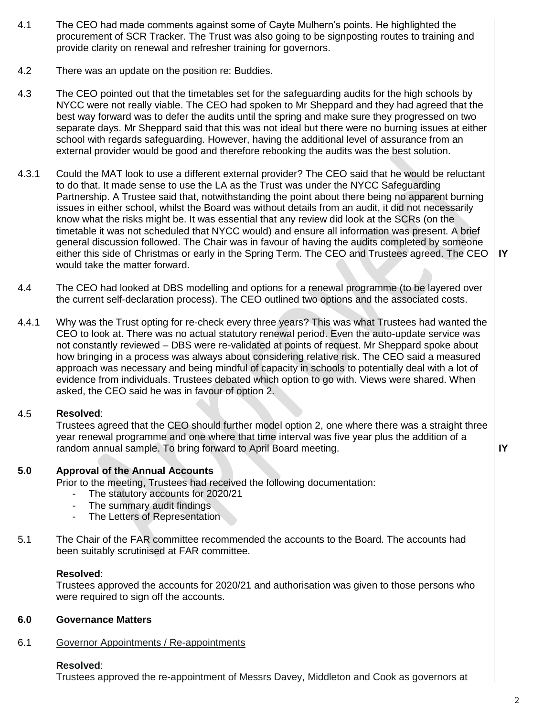- 4.1 The CEO had made comments against some of Cayte Mulhern's points. He highlighted the procurement of SCR Tracker. The Trust was also going to be signposting routes to training and provide clarity on renewal and refresher training for governors.
- 4.2 There was an update on the position re: Buddies.
- 4.3 The CEO pointed out that the timetables set for the safeguarding audits for the high schools by NYCC were not really viable. The CEO had spoken to Mr Sheppard and they had agreed that the best way forward was to defer the audits until the spring and make sure they progressed on two separate days. Mr Sheppard said that this was not ideal but there were no burning issues at either school with regards safeguarding. However, having the additional level of assurance from an external provider would be good and therefore rebooking the audits was the best solution.
- 4.3.1 Could the MAT look to use a different external provider? The CEO said that he would be reluctant to do that. It made sense to use the LA as the Trust was under the NYCC Safeguarding Partnership. A Trustee said that, notwithstanding the point about there being no apparent burning issues in either school, whilst the Board was without details from an audit, it did not necessarily know what the risks might be. It was essential that any review did look at the SCRs (on the timetable it was not scheduled that NYCC would) and ensure all information was present. A brief general discussion followed. The Chair was in favour of having the audits completed by someone either this side of Christmas or early in the Spring Term. The CEO and Trustees agreed. The CEO would take the matter forward.
- 4.4 The CEO had looked at DBS modelling and options for a renewal programme (to be layered over the current self-declaration process). The CEO outlined two options and the associated costs.
- 4.4.1 Why was the Trust opting for re-check every three years? This was what Trustees had wanted the CEO to look at. There was no actual statutory renewal period. Even the auto-update service was not constantly reviewed – DBS were re-validated at points of request. Mr Sheppard spoke about how bringing in a process was always about considering relative risk. The CEO said a measured approach was necessary and being mindful of capacity in schools to potentially deal with a lot of evidence from individuals. Trustees debated which option to go with. Views were shared. When asked, the CEO said he was in favour of option 2.

#### 4.5 **Resolved**:

Trustees agreed that the CEO should further model option 2, one where there was a straight three year renewal programme and one where that time interval was five year plus the addition of a random annual sample. To bring forward to April Board meeting.

**IY**

**IY**

#### **5.0 Approval of the Annual Accounts**

Prior to the meeting, Trustees had received the following documentation:

- The statutory accounts for 2020/21
- The summary audit findings
- The Letters of Representation
- 5.1 The Chair of the FAR committee recommended the accounts to the Board. The accounts had been suitably scrutinised at FAR committee.

### **Resolved**:

Trustees approved the accounts for 2020/21 and authorisation was given to those persons who were required to sign off the accounts.

#### **6.0 Governance Matters**

#### 6.1 Governor Appointments / Re-appointments

# **Resolved**:

Trustees approved the re-appointment of Messrs Davey, Middleton and Cook as governors at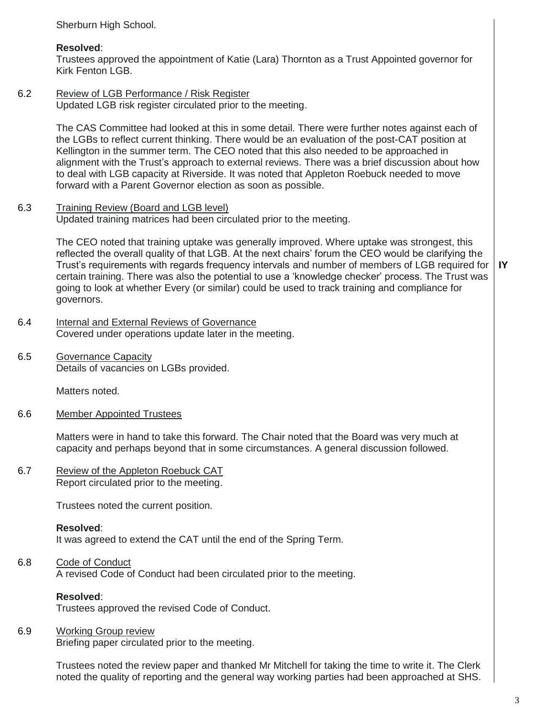Sherburn High School.

## **Resolved**:

Trustees approved the appointment of Katie (Lara) Thornton as a Trust Appointed governor for Kirk Fenton LGB.

### 6.2 Review of LGB Performance / Risk Register Updated LGB risk register circulated prior to the meeting.

The CAS Committee had looked at this in some detail. There were further notes against each of the LGBs to reflect current thinking. There would be an evaluation of the post-CAT position at Kellington in the summer term. The CEO noted that this also needed to be approached in alignment with the Trust's approach to external reviews. There was a brief discussion about how to deal with LGB capacity at Riverside. It was noted that Appleton Roebuck needed to move forward with a Parent Governor election as soon as possible.

#### 6.3 Training Review (Board and LGB level)

Updated training matrices had been circulated prior to the meeting.

The CEO noted that training uptake was generally improved. Where uptake was strongest, this reflected the overall quality of that LGB. At the next chairs' forum the CEO would be clarifying the Trust's requirements with regards frequency intervals and number of members of LGB required for certain training. There was also the potential to use a 'knowledge checker' process. The Trust was going to look at whether Every (or similar) could be used to track training and compliance for governors.

- 6.4 Internal and External Reviews of Governance Covered under operations update later in the meeting.
- 6.5 Governance Capacity Details of vacancies on LGBs provided.

Matters noted.

6.6 Member Appointed Trustees

> Matters were in hand to take this forward. The Chair noted that the Board was very much at capacity and perhaps beyond that in some circumstances. A general discussion followed.

### 6.7 Review of the Appleton Roebuck CAT Report circulated prior to the meeting.

Trustees noted the current position.

## **Resolved**:

It was agreed to extend the CAT until the end of the Spring Term.

### 6.8 Code of Conduct A revised Code of Conduct had been circulated prior to the meeting.

# **Resolved**:

Trustees approved the revised Code of Conduct.

#### 6.9 Working Group review

Briefing paper circulated prior to the meeting.

Trustees noted the review paper and thanked Mr Mitchell for taking the time to write it. The Clerk noted the quality of reporting and the general way working parties had been approached at SHS. **IY**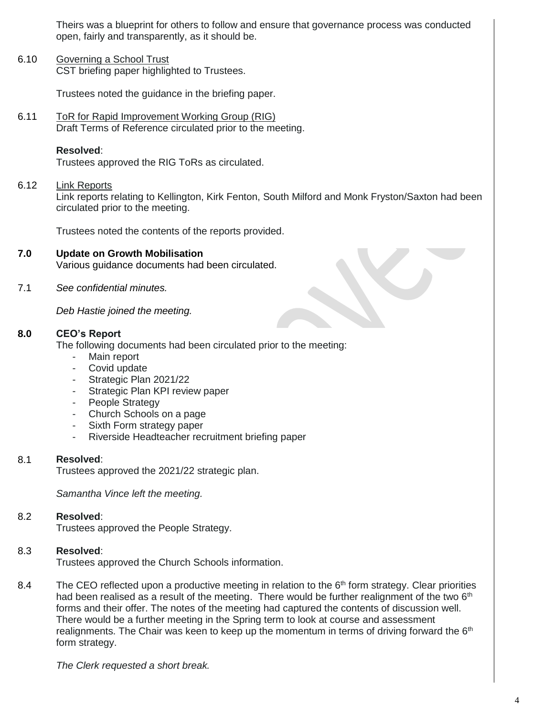Theirs was a blueprint for others to follow and ensure that governance process was conducted open, fairly and transparently, as it should be.

6.10 Governing a School Trust CST briefing paper highlighted to Trustees.

Trustees noted the guidance in the briefing paper.

6.11 ToR for Rapid Improvement Working Group (RIG) Draft Terms of Reference circulated prior to the meeting.

### **Resolved**:

Trustees approved the RIG ToRs as circulated.

#### 6.12 Link Reports

Link reports relating to Kellington, Kirk Fenton, South Milford and Monk Fryston/Saxton had been circulated prior to the meeting.

Trustees noted the contents of the reports provided.

#### **7.0 Update on Growth Mobilisation**

Various guidance documents had been circulated.

7.1 *See confidential minutes.*

*Deb Hastie joined the meeting.*

#### **8.0 CEO's Report**

The following documents had been circulated prior to the meeting:

- Main report
- Covid update
- Strategic Plan 2021/22
- Strategic Plan KPI review paper
- People Strategy
- Church Schools on a page
- Sixth Form strategy paper
- Riverside Headteacher recruitment briefing paper

#### 8.1 **Resolved**:

Trustees approved the 2021/22 strategic plan.

*Samantha Vince left the meeting.*

#### 8.2 **Resolved**:

Trustees approved the People Strategy.

#### 8.3 **Resolved**:

Trustees approved the Church Schools information.

8.4 The CEO reflected upon a productive meeting in relation to the  $6<sup>th</sup>$  form strategy. Clear priorities had been realised as a result of the meeting. There would be further realignment of the two  $6<sup>th</sup>$ forms and their offer. The notes of the meeting had captured the contents of discussion well. There would be a further meeting in the Spring term to look at course and assessment realignments. The Chair was keen to keep up the momentum in terms of driving forward the  $6<sup>th</sup>$ form strategy.

*The Clerk requested a short break.*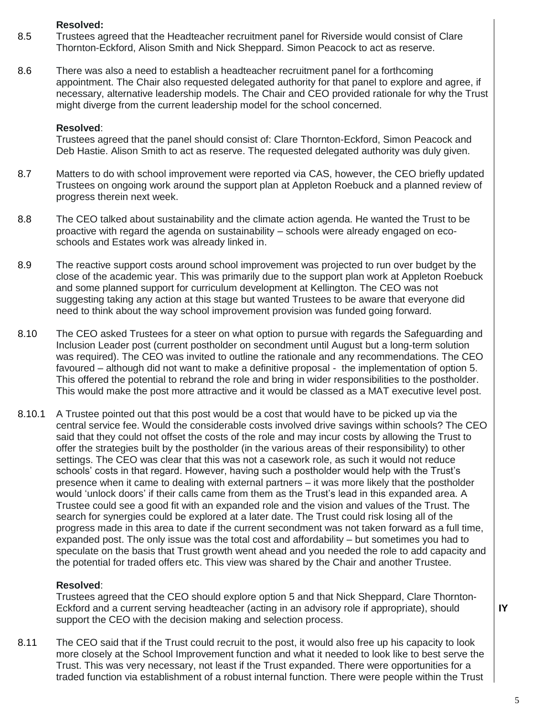### **Resolved:**

- 8.5 Trustees agreed that the Headteacher recruitment panel for Riverside would consist of Clare Thornton-Eckford, Alison Smith and Nick Sheppard. Simon Peacock to act as reserve.
- 8.6 There was also a need to establish a headteacher recruitment panel for a forthcoming appointment. The Chair also requested delegated authority for that panel to explore and agree, if necessary, alternative leadership models. The Chair and CEO provided rationale for why the Trust might diverge from the current leadership model for the school concerned.

### **Resolved**:

Trustees agreed that the panel should consist of: Clare Thornton-Eckford, Simon Peacock and Deb Hastie. Alison Smith to act as reserve. The requested delegated authority was duly given.

- 8.7 Matters to do with school improvement were reported via CAS, however, the CEO briefly updated Trustees on ongoing work around the support plan at Appleton Roebuck and a planned review of progress therein next week.
- 8.8 The CEO talked about sustainability and the climate action agenda. He wanted the Trust to be proactive with regard the agenda on sustainability – schools were already engaged on ecoschools and Estates work was already linked in.
- 8.9 The reactive support costs around school improvement was projected to run over budget by the close of the academic year. This was primarily due to the support plan work at Appleton Roebuck and some planned support for curriculum development at Kellington. The CEO was not suggesting taking any action at this stage but wanted Trustees to be aware that everyone did need to think about the way school improvement provision was funded going forward.
- 8.10 The CEO asked Trustees for a steer on what option to pursue with regards the Safeguarding and Inclusion Leader post (current postholder on secondment until August but a long-term solution was required). The CEO was invited to outline the rationale and any recommendations. The CEO favoured – although did not want to make a definitive proposal - the implementation of option 5. This offered the potential to rebrand the role and bring in wider responsibilities to the postholder. This would make the post more attractive and it would be classed as a MAT executive level post.
- 8.10.1 A Trustee pointed out that this post would be a cost that would have to be picked up via the central service fee. Would the considerable costs involved drive savings within schools? The CEO said that they could not offset the costs of the role and may incur costs by allowing the Trust to offer the strategies built by the postholder (in the various areas of their responsibility) to other settings. The CEO was clear that this was not a casework role, as such it would not reduce schools' costs in that regard. However, having such a postholder would help with the Trust's presence when it came to dealing with external partners – it was more likely that the postholder would 'unlock doors' if their calls came from them as the Trust's lead in this expanded area. A Trustee could see a good fit with an expanded role and the vision and values of the Trust. The search for synergies could be explored at a later date. The Trust could risk losing all of the progress made in this area to date if the current secondment was not taken forward as a full time, expanded post. The only issue was the total cost and affordability – but sometimes you had to speculate on the basis that Trust growth went ahead and you needed the role to add capacity and the potential for traded offers etc. This view was shared by the Chair and another Trustee.

## **Resolved**:

Trustees agreed that the CEO should explore option 5 and that Nick Sheppard, Clare Thornton-Eckford and a current serving headteacher (acting in an advisory role if appropriate), should support the CEO with the decision making and selection process.

8.11 The CEO said that if the Trust could recruit to the post, it would also free up his capacity to look more closely at the School Improvement function and what it needed to look like to best serve the Trust. This was very necessary, not least if the Trust expanded. There were opportunities for a traded function via establishment of a robust internal function. There were people within the Trust **IY**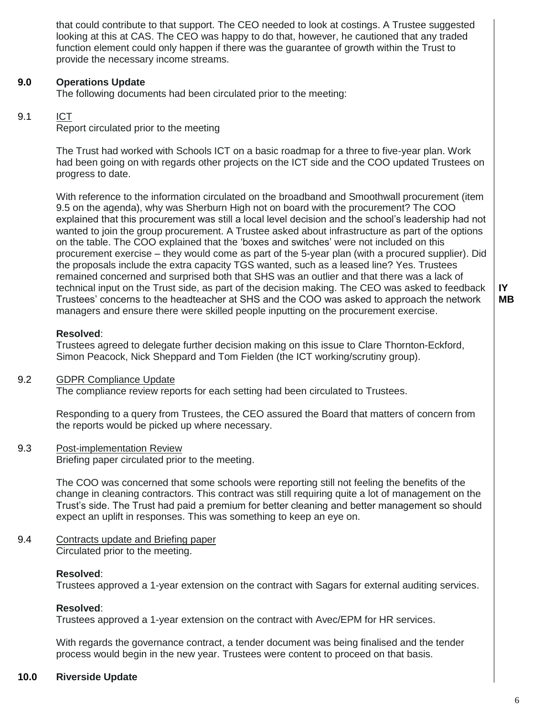that could contribute to that support. The CEO needed to look at costings. A Trustee suggested looking at this at CAS. The CEO was happy to do that, however, he cautioned that any traded function element could only happen if there was the guarantee of growth within the Trust to provide the necessary income streams.

#### **9.0 Operations Update**

The following documents had been circulated prior to the meeting:

#### 9.1 ICT

Report circulated prior to the meeting

The Trust had worked with Schools ICT on a basic roadmap for a three to five-year plan. Work had been going on with regards other projects on the ICT side and the COO updated Trustees on progress to date.

With reference to the information circulated on the broadband and Smoothwall procurement (item 9.5 on the agenda), why was Sherburn High not on board with the procurement? The COO explained that this procurement was still a local level decision and the school's leadership had not wanted to join the group procurement. A Trustee asked about infrastructure as part of the options on the table. The COO explained that the 'boxes and switches' were not included on this procurement exercise – they would come as part of the 5-year plan (with a procured supplier). Did the proposals include the extra capacity TGS wanted, such as a leased line? Yes. Trustees remained concerned and surprised both that SHS was an outlier and that there was a lack of technical input on the Trust side, as part of the decision making. The CEO was asked to feedback Trustees' concerns to the headteacher at SHS and the COO was asked to approach the network managers and ensure there were skilled people inputting on the procurement exercise.

### **Resolved**:

Trustees agreed to delegate further decision making on this issue to Clare Thornton-Eckford, Simon Peacock, Nick Sheppard and Tom Fielden (the ICT working/scrutiny group).

#### 9.2 GDPR Compliance Update

The compliance review reports for each setting had been circulated to Trustees.

Responding to a query from Trustees, the CEO assured the Board that matters of concern from the reports would be picked up where necessary.

#### 9.3 Post-implementation Review

Briefing paper circulated prior to the meeting.

The COO was concerned that some schools were reporting still not feeling the benefits of the change in cleaning contractors. This contract was still requiring quite a lot of management on the Trust's side. The Trust had paid a premium for better cleaning and better management so should expect an uplift in responses. This was something to keep an eye on.

9.4 Contracts update and Briefing paper Circulated prior to the meeting.

### **Resolved**:

Trustees approved a 1-year extension on the contract with Sagars for external auditing services.

### **Resolved**:

Trustees approved a 1-year extension on the contract with Avec/EPM for HR services.

With regards the governance contract, a tender document was being finalised and the tender process would begin in the new year. Trustees were content to proceed on that basis.

#### **10.0 Riverside Update**

**IY MB**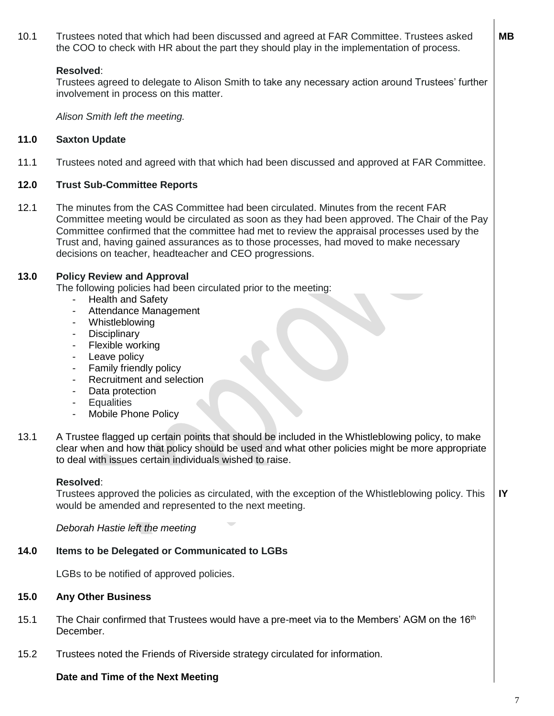10.1 Trustees noted that which had been discussed and agreed at FAR Committee. Trustees asked the COO to check with HR about the part they should play in the implementation of process.

### **Resolved**:

Trustees agreed to delegate to Alison Smith to take any necessary action around Trustees' further involvement in process on this matter.

*Alison Smith left the meeting.*

#### **11.0 Saxton Update**

11.1 Trustees noted and agreed with that which had been discussed and approved at FAR Committee.

#### **12.0 Trust Sub-Committee Reports**

12.1 The minutes from the CAS Committee had been circulated. Minutes from the recent FAR Committee meeting would be circulated as soon as they had been approved. The Chair of the Pay Committee confirmed that the committee had met to review the appraisal processes used by the Trust and, having gained assurances as to those processes, had moved to make necessary decisions on teacher, headteacher and CEO progressions.

#### **13.0 Policy Review and Approval**

The following policies had been circulated prior to the meeting:

- Health and Safety
- Attendance Management
- Whistleblowing
- **Disciplinary**
- Flexible working
- Leave policy
- Family friendly policy
- Recruitment and selection
- Data protection
- Equalities
- Mobile Phone Policy
- 13.1 A Trustee flagged up certain points that should be included in the Whistleblowing policy, to make clear when and how that policy should be used and what other policies might be more appropriate to deal with issues certain individuals wished to raise.

### **Resolved**:

Trustees approved the policies as circulated, with the exception of the Whistleblowing policy. This would be amended and represented to the next meeting. **IY**

*Deborah Hastie left the meeting*

#### **14.0 Items to be Delegated or Communicated to LGBs**

LGBs to be notified of approved policies.

#### **15.0 Any Other Business**

- 15.1 The Chair confirmed that Trustees would have a pre-meet via to the Members' AGM on the  $16<sup>th</sup>$ December.
- 15.2 Trustees noted the Friends of Riverside strategy circulated for information.

# **Date and Time of the Next Meeting**

7

**MB**